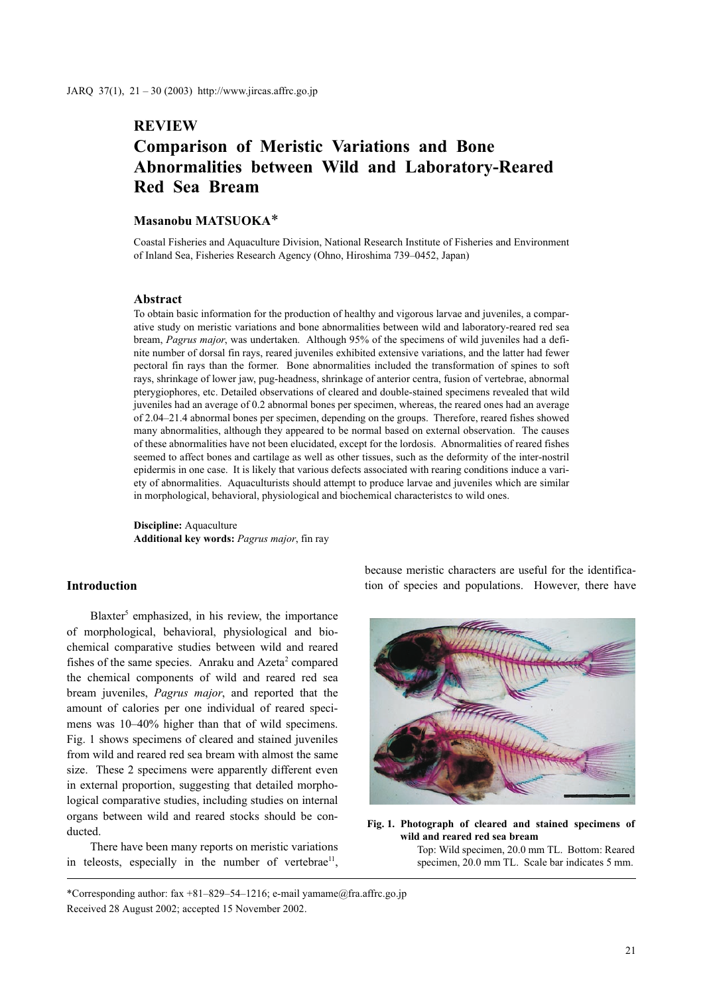# **REVIEW**

# Comparison of Meristic Variations and Bone Abnormalities between Wild and Laboratory-Reared Red Sea Bream

#### Masanobu MATSUOKA\*

Coastal Fisheries and Aquaculture Division, National Research Institute of Fisheries and Environment of Inland Sea, Fisheries Research Agency (Ohno, Hiroshima 739–0452, Japan)

### Abstract

To obtain basic information for the production of healthy and vigorous larvae and juveniles, a comparative study on meristic variations and bone abnormalities between wild and laboratory-reared red sea bream, Pagrus major, was undertaken. Although 95% of the specimens of wild juveniles had a definite number of dorsal fin rays, reared juveniles exhibited extensive variations, and the latter had fewer pectoral fin rays than the former. Bone abnormalities included the transformation of spines to soft rays, shrinkage of lower jaw, pug-headness, shrinkage of anterior centra, fusion of vertebrae, abnormal pterygiophores, etc. Detailed observations of cleared and double-stained specimens revealed that wild juveniles had an average of 0.2 abnormal bones per specimen, whereas, the reared ones had an average of 2.04–21.4 abnormal bones per specimen, depending on the groups. Therefore, reared fishes showed many abnormalities, although they appeared to be normal based on external observation. The causes of these abnormalities have not been elucidated, except for the lordosis. Abnormalities of reared fishes seemed to affect bones and cartilage as well as other tissues, such as the deformity of the inter-nostril epidermis in one case. It is likely that various defects associated with rearing conditions induce a variety of abnormalities. Aquaculturists should attempt to produce larvae and juveniles which are similar in morphological, behavioral, physiological and biochemical characteristcs to wild ones.

Discipline: Aquaculture Additional key words: Pagrus major, fin ray

## Introduction

Blaxter<sup>5</sup> emphasized, in his review, the importance of morphological, behavioral, physiological and biochemical comparative studies between wild and reared fishes of the same species. Anraku and Azeta<sup>2</sup> compared the chemical components of wild and reared red sea bream juveniles, Pagrus major, and reported that the amount of calories per one individual of reared specimens was 10–40% higher than that of wild specimens. Fig. 1 shows specimens of cleared and stained juveniles from wild and reared red sea bream with almost the same size. These 2 specimens were apparently different even in external proportion, suggesting that detailed morphological comparative studies, including studies on internal organs between wild and reared stocks should be conducted.

There have been many reports on meristic variations in teleosts, especially in the number of vertebrae<sup>11</sup>, because meristic characters are useful for the identification of species and populations. However, there have



Fig. 1. Photograph of cleared and stained specimens of wild and reared red sea bream

Top: Wild specimen, 20.0 mm TL. Bottom: Reared specimen, 20.0 mm TL. Scale bar indicates 5 mm.

\*Corresponding author: fax +81–829–54–1216; e-mail yamame@fra.affrc.go.jp Received 28 August 2002; accepted 15 November 2002.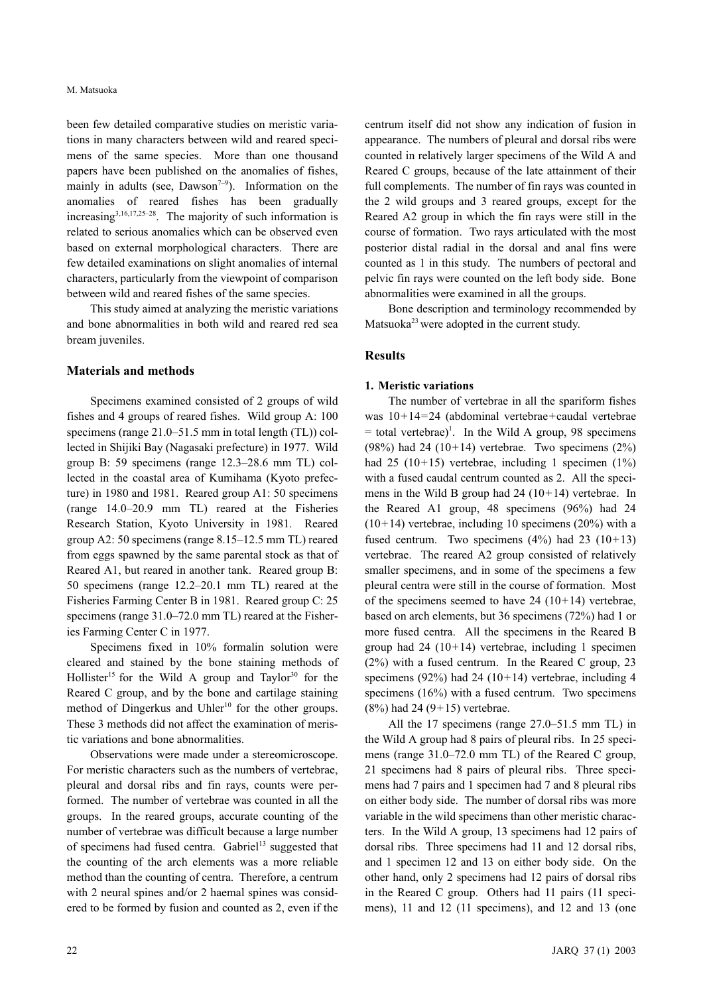been few detailed comparative studies on meristic variations in many characters between wild and reared specimens of the same species. More than one thousand papers have been published on the anomalies of fishes, mainly in adults (see,  $Dawson^{7-9}$ ). Information on the anomalies of reared fishes has been gradually increasing3,16,17,25–28. The majority of such information is related to serious anomalies which can be observed even based on external morphological characters. There are few detailed examinations on slight anomalies of internal characters, particularly from the viewpoint of comparison between wild and reared fishes of the same species.

This study aimed at analyzing the meristic variations and bone abnormalities in both wild and reared red sea bream juveniles.

#### Materials and methods

Specimens examined consisted of 2 groups of wild fishes and 4 groups of reared fishes. Wild group A: 100 specimens (range 21.0–51.5 mm in total length (TL)) collected in Shijiki Bay (Nagasaki prefecture) in 1977. Wild group B: 59 specimens (range 12.3–28.6 mm TL) collected in the coastal area of Kumihama (Kyoto prefecture) in 1980 and 1981. Reared group A1: 50 specimens (range 14.0–20.9 mm TL) reared at the Fisheries Research Station, Kyoto University in 1981. Reared group A2: 50 specimens (range 8.15–12.5 mm TL) reared from eggs spawned by the same parental stock as that of Reared A1, but reared in another tank. Reared group B: 50 specimens (range 12.2–20.1 mm TL) reared at the Fisheries Farming Center B in 1981. Reared group C: 25 specimens (range 31.0–72.0 mm TL) reared at the Fisheries Farming Center C in 1977.

Specimens fixed in 10% formalin solution were cleared and stained by the bone staining methods of Hollister<sup>15</sup> for the Wild A group and Taylor<sup>30</sup> for the Reared C group, and by the bone and cartilage staining method of Dingerkus and Uhler $10$  for the other groups. These 3 methods did not affect the examination of meristic variations and bone abnormalities.

Observations were made under a stereomicroscope. For meristic characters such as the numbers of vertebrae, pleural and dorsal ribs and fin rays, counts were performed. The number of vertebrae was counted in all the groups. In the reared groups, accurate counting of the number of vertebrae was difficult because a large number of specimens had fused centra. Gabriel<sup>13</sup> suggested that the counting of the arch elements was a more reliable method than the counting of centra. Therefore, a centrum with 2 neural spines and/or 2 haemal spines was considered to be formed by fusion and counted as 2, even if the centrum itself did not show any indication of fusion in appearance. The numbers of pleural and dorsal ribs were counted in relatively larger specimens of the Wild A and Reared C groups, because of the late attainment of their full complements. The number of fin rays was counted in the 2 wild groups and 3 reared groups, except for the Reared A2 group in which the fin rays were still in the course of formation. Two rays articulated with the most posterior distal radial in the dorsal and anal fins were counted as 1 in this study. The numbers of pectoral and pelvic fin rays were counted on the left body side. Bone abnormalities were examined in all the groups.

Bone description and terminology recommended by Matsuoka<sup>23</sup> were adopted in the current study.

#### **Results**

#### 1. Meristic variations

The number of vertebrae in all the spariform fishes was  $10+14=24$  (abdominal vertebrae+caudal vertebrae  $=$  total vertebrae)<sup>1</sup>. In the Wild A group, 98 specimens  $(98\%)$  had 24 (10+14) vertebrae. Two specimens (2%) had 25 (10+15) vertebrae, including 1 specimen (1%) with a fused caudal centrum counted as 2. All the specimens in the Wild B group had  $24 (10+14)$  vertebrae. In the Reared A1 group, 48 specimens (96%) had 24  $(10+14)$  vertebrae, including 10 specimens  $(20\%)$  with a fused centrum. Two specimens  $(4\%)$  had 23  $(10+13)$ vertebrae. The reared A2 group consisted of relatively smaller specimens, and in some of the specimens a few pleural centra were still in the course of formation. Most of the specimens seemed to have  $24$  (10+14) vertebrae, based on arch elements, but 36 specimens (72%) had 1 or more fused centra. All the specimens in the Reared B group had  $24(10+14)$  vertebrae, including 1 specimen (2%) with a fused centrum. In the Reared C group, 23 specimens (92%) had 24 (10+14) vertebrae, including 4 specimens (16%) with a fused centrum. Two specimens  $(8\%)$  had 24  $(9+15)$  vertebrae.

All the 17 specimens (range 27.0–51.5 mm TL) in the Wild A group had 8 pairs of pleural ribs. In 25 specimens (range 31.0–72.0 mm TL) of the Reared C group, 21 specimens had 8 pairs of pleural ribs. Three specimens had 7 pairs and 1 specimen had 7 and 8 pleural ribs on either body side. The number of dorsal ribs was more variable in the wild specimens than other meristic characters. In the Wild A group, 13 specimens had 12 pairs of dorsal ribs. Three specimens had 11 and 12 dorsal ribs, and 1 specimen 12 and 13 on either body side. On the other hand, only 2 specimens had 12 pairs of dorsal ribs in the Reared C group. Others had 11 pairs (11 specimens), 11 and 12 (11 specimens), and 12 and 13 (one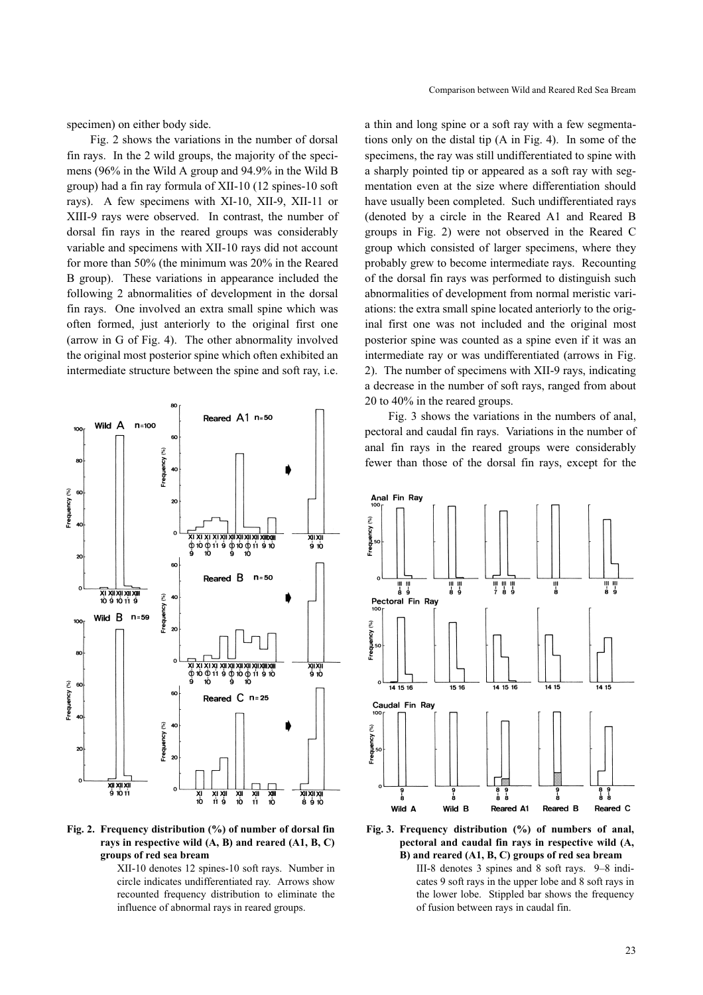specimen) on either body side.

Fig. 2 shows the variations in the number of dorsal fin rays. In the 2 wild groups, the majority of the specimens (96% in the Wild A group and 94.9% in the Wild B group) had a fin ray formula of XII-10 (12 spines-10 soft rays). A few specimens with XI-10, XII-9, XII-11 or XIII-9 rays were observed. In contrast, the number of dorsal fin rays in the reared groups was considerably variable and specimens with XII-10 rays did not account for more than 50% (the minimum was 20% in the Reared B group). These variations in appearance included the following 2 abnormalities of development in the dorsal fin rays. One involved an extra small spine which was often formed, just anteriorly to the original first one (arrow in G of Fig. 4). The other abnormality involved the original most posterior spine which often exhibited an intermediate structure between the spine and soft ray, i.e.

Reared A1 n=50 Wild A  $n = 100$ requency (%) 80 Frequency (%) ו<mark>וסווג'וגוגוגולוגוגוגוגוגולוגוגרוגוגולוגוגול</mark><br>טולפוויסטולס פונסטולס<br>טו פ  $\alpha$ Reared  $B$   $n = 50$ Frequency (%) Wild  $B$   $n=59$ 100  $\alpha$  $\alpha$  $\frac{1}{9}$  10  $\frac{1}{10}$  11  $\frac{1}{9}$ Frequency (%) 60 Reared C n=25 Frequency (%) 4f 20 **IXIIXI**<br>Frote o  $\frac{x}{10}$ ik<br>P  $\frac{\overline{x}}{11}$ IDX<br>Or XI<br>11 XII<br>10

Fig. 2. Frequency distribution (%) of number of dorsal fin rays in respective wild (A, B) and reared (A1, B, C) groups of red sea bream

XII-10 denotes 12 spines-10 soft rays. Number in circle indicates undifferentiated ray. Arrows show recounted frequency distribution to eliminate the influence of abnormal rays in reared groups.

a thin and long spine or a soft ray with a few segmentations only on the distal tip (A in Fig. 4). In some of the specimens, the ray was still undifferentiated to spine with a sharply pointed tip or appeared as a soft ray with segmentation even at the size where differentiation should have usually been completed. Such undifferentiated rays (denoted by a circle in the Reared A1 and Reared B groups in Fig. 2) were not observed in the Reared C group which consisted of larger specimens, where they probably grew to become intermediate rays. Recounting of the dorsal fin rays was performed to distinguish such abnormalities of development from normal meristic variations: the extra small spine located anteriorly to the original first one was not included and the original most posterior spine was counted as a spine even if it was an intermediate ray or was undifferentiated (arrows in Fig. 2). The number of specimens with XII-9 rays, indicating a decrease in the number of soft rays, ranged from about 20 to 40% in the reared groups.

Fig. 3 shows the variations in the numbers of anal, pectoral and caudal fin rays. Variations in the number of anal fin rays in the reared groups were considerably fewer than those of the dorsal fin rays, except for the





III-8 denotes 3 spines and 8 soft rays. 9–8 indicates 9 soft rays in the upper lobe and 8 soft rays in the lower lobe. Stippled bar shows the frequency of fusion between rays in caudal fin.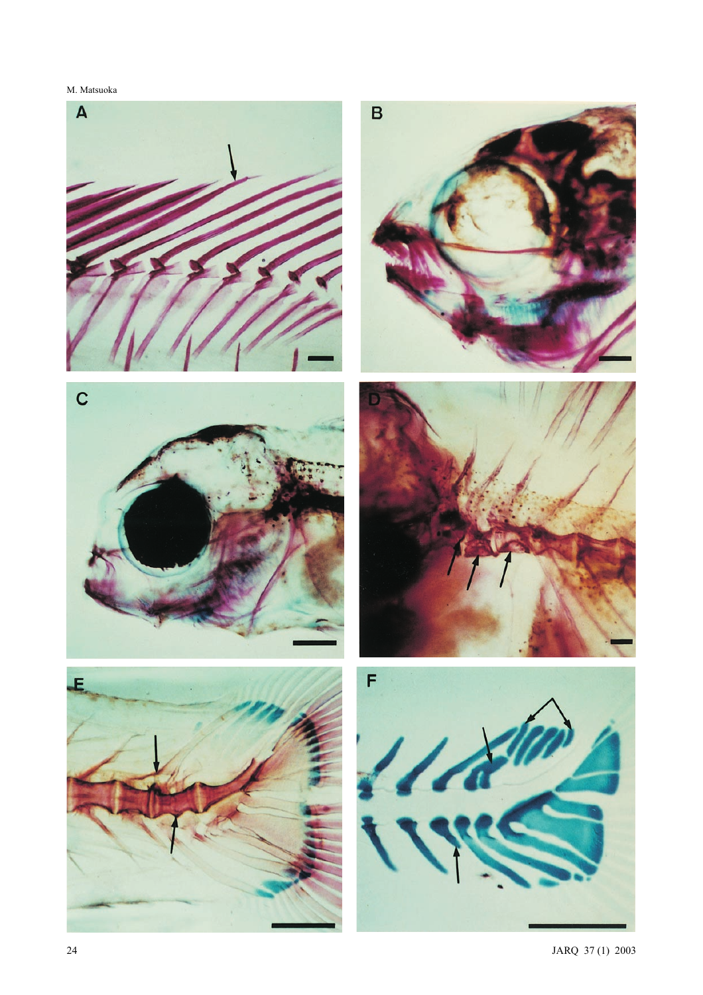

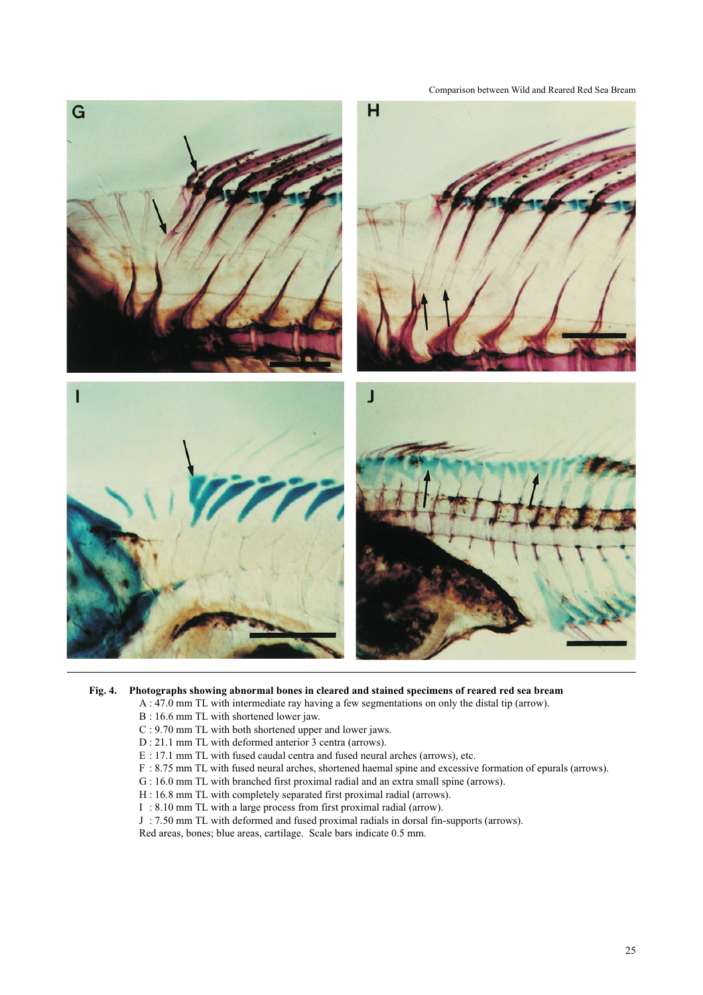Comparison between Wild and Reared Red Sea Bream



#### Fig. 4. Photographs showing abnormal bones in cleared and stained specimens of reared red sea bream

- A : 47.0 mm TL with intermediate ray having a few segmentations on only the distal tip (arrow).
- B : 16.6 mm TL with shortened lower jaw.
- C : 9.70 mm TL with both shortened upper and lower jaws.
- D : 21.1 mm TL with deformed anterior 3 centra (arrows).
- E : 17.1 mm TL with fused caudal centra and fused neural arches (arrows), etc.
- F : 8.75 mm TL with fused neural arches, shortened haemal spine and excessive formation of epurals (arrows).
- G : 16.0 mm TL with branched first proximal radial and an extra small spine (arrows).
- H : 16.8 mm TL with completely separated first proximal radial (arrows).
- I : 8.10 mm TL with a large process from first proximal radial (arrow).
- J : 7.50 mm TL with deformed and fused proximal radials in dorsal fin-supports (arrows).

Red areas, bones; blue areas, cartilage. Scale bars indicate 0.5 mm.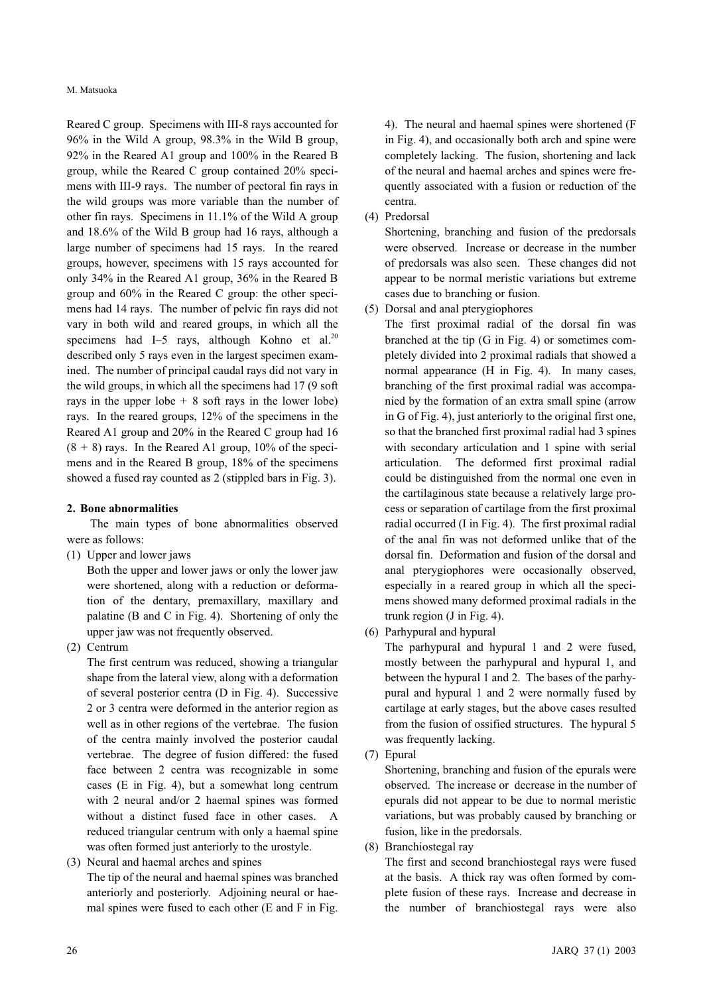Reared C group. Specimens with III-8 rays accounted for 96% in the Wild A group, 98.3% in the Wild B group, 92% in the Reared A1 group and 100% in the Reared B group, while the Reared C group contained 20% specimens with III-9 rays. The number of pectoral fin rays in the wild groups was more variable than the number of other fin rays. Specimens in 11.1% of the Wild A group and 18.6% of the Wild B group had 16 rays, although a large number of specimens had 15 rays. In the reared groups, however, specimens with 15 rays accounted for only 34% in the Reared A1 group, 36% in the Reared B group and 60% in the Reared C group: the other specimens had 14 rays. The number of pelvic fin rays did not vary in both wild and reared groups, in which all the specimens had I–5 rays, although Kohno et al. $20$ described only 5 rays even in the largest specimen examined. The number of principal caudal rays did not vary in the wild groups, in which all the specimens had 17 (9 soft rays in the upper lobe  $+ 8$  soft rays in the lower lobe) rays. In the reared groups, 12% of the specimens in the Reared A1 group and 20% in the Reared C group had 16  $(8 + 8)$  rays. In the Reared A1 group, 10% of the specimens and in the Reared B group, 18% of the specimens showed a fused ray counted as 2 (stippled bars in Fig. 3).

### 2. Bone abnormalities

The main types of bone abnormalities observed were as follows:

(1) Upper and lower jaws

Both the upper and lower jaws or only the lower jaw were shortened, along with a reduction or deformation of the dentary, premaxillary, maxillary and palatine (B and C in Fig. 4). Shortening of only the upper jaw was not frequently observed.

(2) Centrum

The first centrum was reduced, showing a triangular shape from the lateral view, along with a deformation of several posterior centra (D in Fig. 4). Successive 2 or 3 centra were deformed in the anterior region as well as in other regions of the vertebrae. The fusion of the centra mainly involved the posterior caudal vertebrae. The degree of fusion differed: the fused face between 2 centra was recognizable in some cases (E in Fig. 4), but a somewhat long centrum with 2 neural and/or 2 haemal spines was formed without a distinct fused face in other cases. A reduced triangular centrum with only a haemal spine was often formed just anteriorly to the urostyle.

(3) Neural and haemal arches and spines The tip of the neural and haemal spines was branched anteriorly and posteriorly. Adjoining neural or haemal spines were fused to each other (E and F in Fig.

4). The neural and haemal spines were shortened (F in Fig. 4), and occasionally both arch and spine were completely lacking. The fusion, shortening and lack of the neural and haemal arches and spines were frequently associated with a fusion or reduction of the centra.

(4) Predorsal

Shortening, branching and fusion of the predorsals were observed. Increase or decrease in the number of predorsals was also seen. These changes did not appear to be normal meristic variations but extreme cases due to branching or fusion.

(5) Dorsal and anal pterygiophores

The first proximal radial of the dorsal fin was branched at the tip (G in Fig. 4) or sometimes completely divided into 2 proximal radials that showed a normal appearance (H in Fig. 4). In many cases, branching of the first proximal radial was accompanied by the formation of an extra small spine (arrow in G of Fig. 4), just anteriorly to the original first one, so that the branched first proximal radial had 3 spines with secondary articulation and 1 spine with serial articulation. The deformed first proximal radial could be distinguished from the normal one even in the cartilaginous state because a relatively large process or separation of cartilage from the first proximal radial occurred (I in Fig. 4). The first proximal radial of the anal fin was not deformed unlike that of the dorsal fin. Deformation and fusion of the dorsal and anal pterygiophores were occasionally observed, especially in a reared group in which all the specimens showed many deformed proximal radials in the trunk region (J in Fig. 4).

(6) Parhypural and hypural

The parhypural and hypural 1 and 2 were fused, mostly between the parhypural and hypural 1, and between the hypural 1 and 2. The bases of the parhypural and hypural 1 and 2 were normally fused by cartilage at early stages, but the above cases resulted from the fusion of ossified structures. The hypural 5 was frequently lacking.

(7) Epural

Shortening, branching and fusion of the epurals were observed. The increase or decrease in the number of epurals did not appear to be due to normal meristic variations, but was probably caused by branching or fusion, like in the predorsals.

(8) Branchiostegal ray

The first and second branchiostegal rays were fused at the basis. A thick ray was often formed by complete fusion of these rays. Increase and decrease in the number of branchiostegal rays were also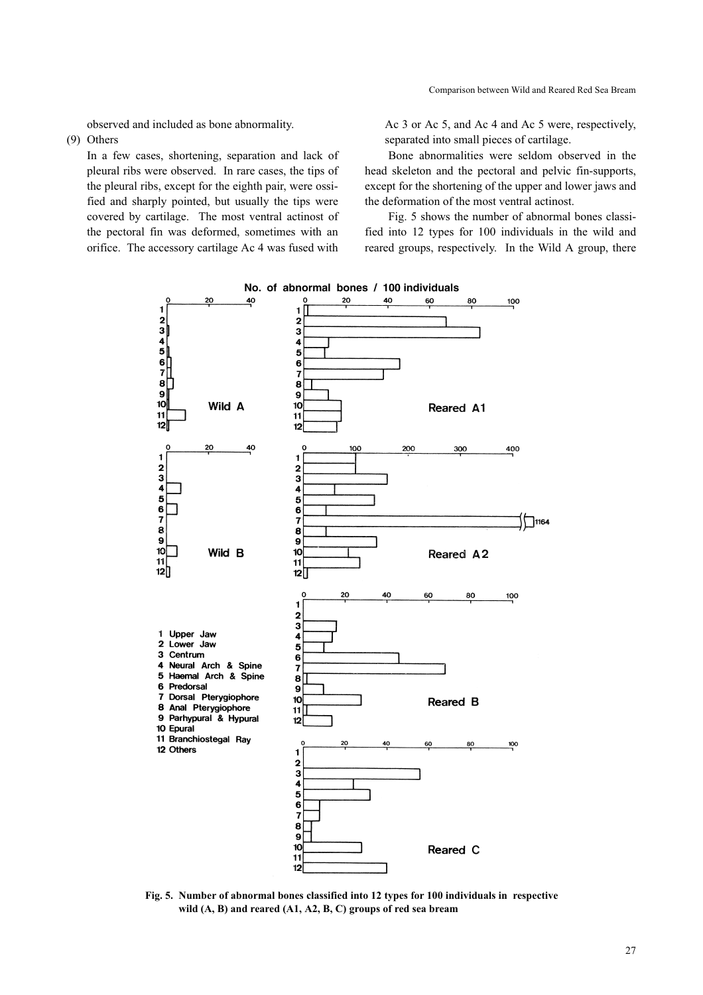observed and included as bone abnormality.

(9) Others

In a few cases, shortening, separation and lack of pleural ribs were observed. In rare cases, the tips of the pleural ribs, except for the eighth pair, were ossified and sharply pointed, but usually the tips were covered by cartilage. The most ventral actinost of the pectoral fin was deformed, sometimes with an orifice. The accessory cartilage Ac 4 was fused with

Ac 3 or Ac 5, and Ac 4 and Ac 5 were, respectively, separated into small pieces of cartilage.

Bone abnormalities were seldom observed in the head skeleton and the pectoral and pelvic fin-supports, except for the shortening of the upper and lower jaws and the deformation of the most ventral actinost.

Fig. 5 shows the number of abnormal bones classified into 12 types for 100 individuals in the wild and reared groups, respectively. In the Wild A group, there



Fig. 5. Number of abnormal bones classified into 12 types for 100 individuals in respective wild (A, B) and reared (A1, A2, B, C) groups of red sea bream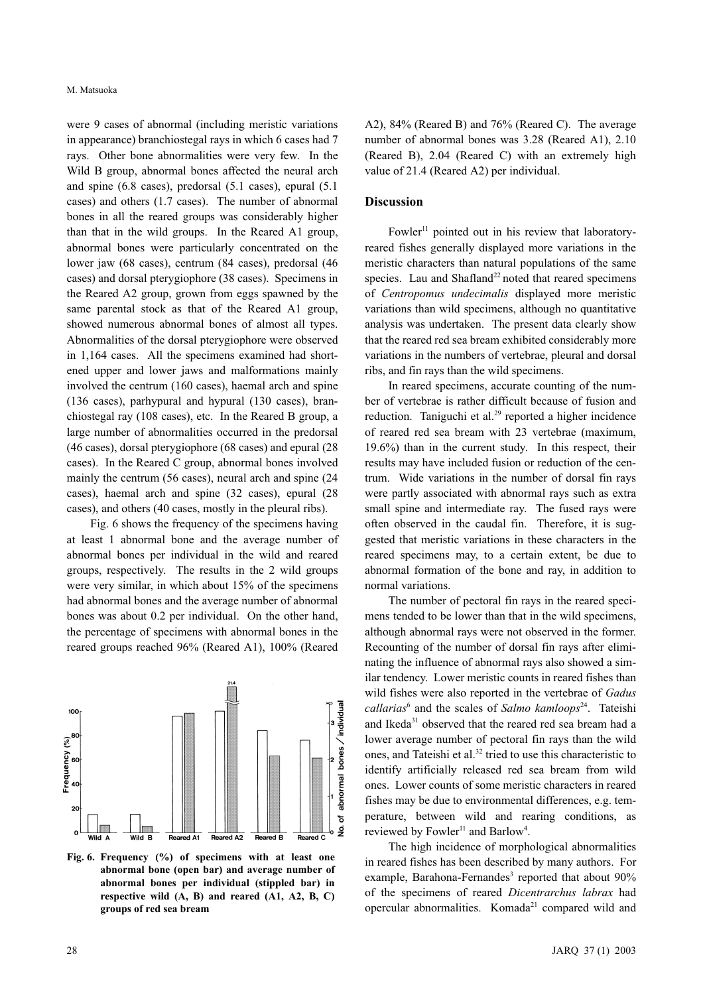were 9 cases of abnormal (including meristic variations in appearance) branchiostegal rays in which 6 cases had 7 rays. Other bone abnormalities were very few. In the Wild B group, abnormal bones affected the neural arch and spine (6.8 cases), predorsal (5.1 cases), epural (5.1 cases) and others (1.7 cases). The number of abnormal bones in all the reared groups was considerably higher than that in the wild groups. In the Reared A1 group, abnormal bones were particularly concentrated on the lower jaw (68 cases), centrum (84 cases), predorsal (46 cases) and dorsal pterygiophore (38 cases). Specimens in the Reared A2 group, grown from eggs spawned by the same parental stock as that of the Reared A1 group, showed numerous abnormal bones of almost all types. Abnormalities of the dorsal pterygiophore were observed in 1,164 cases. All the specimens examined had shortened upper and lower jaws and malformations mainly involved the centrum (160 cases), haemal arch and spine (136 cases), parhypural and hypural (130 cases), branchiostegal ray (108 cases), etc. In the Reared B group, a large number of abnormalities occurred in the predorsal (46 cases), dorsal pterygiophore (68 cases) and epural (28 cases). In the Reared C group, abnormal bones involved mainly the centrum (56 cases), neural arch and spine (24 cases), haemal arch and spine (32 cases), epural (28 cases), and others (40 cases, mostly in the pleural ribs).

Fig. 6 shows the frequency of the specimens having at least 1 abnormal bone and the average number of abnormal bones per individual in the wild and reared groups, respectively. The results in the 2 wild groups were very similar, in which about 15% of the specimens had abnormal bones and the average number of abnormal bones was about 0.2 per individual. On the other hand, the percentage of specimens with abnormal bones in the reared groups reached 96% (Reared A1), 100% (Reared



Fig. 6. Frequency (%) of specimens with at least one abnormal bone (open bar) and average number of abnormal bones per individual (stippled bar) in respective wild (A, B) and reared (A1, A2, B, C) groups of red sea bream

A2), 84% (Reared B) and 76% (Reared C). The average number of abnormal bones was 3.28 (Reared A1), 2.10 (Reared B), 2.04 (Reared C) with an extremely high value of 21.4 (Reared A2) per individual.

#### Discussion

Fowler $11$  pointed out in his review that laboratoryreared fishes generally displayed more variations in the meristic characters than natural populations of the same species. Lau and Shafland<sup>22</sup> noted that reared specimens of Centropomus undecimalis displayed more meristic variations than wild specimens, although no quantitative analysis was undertaken. The present data clearly show that the reared red sea bream exhibited considerably more variations in the numbers of vertebrae, pleural and dorsal ribs, and fin rays than the wild specimens.

In reared specimens, accurate counting of the number of vertebrae is rather difficult because of fusion and reduction. Taniguchi et al.<sup>29</sup> reported a higher incidence of reared red sea bream with 23 vertebrae (maximum, 19.6%) than in the current study. In this respect, their results may have included fusion or reduction of the centrum. Wide variations in the number of dorsal fin rays were partly associated with abnormal rays such as extra small spine and intermediate ray. The fused rays were often observed in the caudal fin. Therefore, it is suggested that meristic variations in these characters in the reared specimens may, to a certain extent, be due to abnormal formation of the bone and ray, in addition to normal variations.

The number of pectoral fin rays in the reared specimens tended to be lower than that in the wild specimens, although abnormal rays were not observed in the former. Recounting of the number of dorsal fin rays after eliminating the influence of abnormal rays also showed a similar tendency. Lower meristic counts in reared fishes than wild fishes were also reported in the vertebrae of Gadus callarias<sup>6</sup> and the scales of Salmo kamloops<sup>24</sup>. Tateishi and Ikeda<sup>31</sup> observed that the reared red sea bream had a lower average number of pectoral fin rays than the wild ones, and Tateishi et al.<sup>32</sup> tried to use this characteristic to identify artificially released red sea bream from wild ones. Lower counts of some meristic characters in reared fishes may be due to environmental differences, e.g. temperature, between wild and rearing conditions, as reviewed by Fowler<sup>11</sup> and Barlow<sup>4</sup>.

The high incidence of morphological abnormalities in reared fishes has been described by many authors. For example, Barahona-Fernandes<sup>3</sup> reported that about 90% of the specimens of reared Dicentrarchus labrax had opercular abnormalities. Komada<sup>21</sup> compared wild and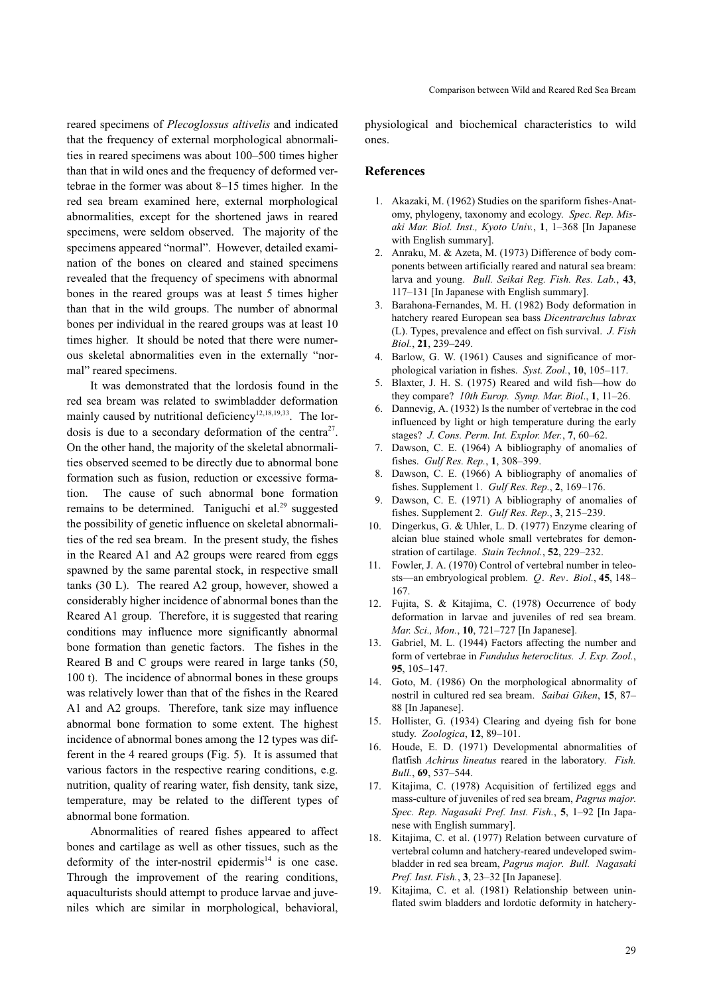reared specimens of Plecoglossus altivelis and indicated that the frequency of external morphological abnormalities in reared specimens was about 100–500 times higher than that in wild ones and the frequency of deformed vertebrae in the former was about 8–15 times higher. In the red sea bream examined here, external morphological abnormalities, except for the shortened jaws in reared specimens, were seldom observed. The majority of the specimens appeared "normal". However, detailed examination of the bones on cleared and stained specimens revealed that the frequency of specimens with abnormal bones in the reared groups was at least 5 times higher than that in the wild groups. The number of abnormal bones per individual in the reared groups was at least 10 times higher. It should be noted that there were numerous skeletal abnormalities even in the externally "normal" reared specimens.

It was demonstrated that the lordosis found in the red sea bream was related to swimbladder deformation mainly caused by nutritional deficiency<sup>12,18,19,33</sup>. The lordosis is due to a secondary deformation of the centra<sup>27</sup>. On the other hand, the majority of the skeletal abnormalities observed seemed to be directly due to abnormal bone formation such as fusion, reduction or excessive formation. The cause of such abnormal bone formation remains to be determined. Taniguchi et al.<sup>29</sup> suggested the possibility of genetic influence on skeletal abnormalities of the red sea bream. In the present study, the fishes in the Reared A1 and A2 groups were reared from eggs spawned by the same parental stock, in respective small tanks (30 L). The reared A2 group, however, showed a considerably higher incidence of abnormal bones than the Reared A1 group. Therefore, it is suggested that rearing conditions may influence more significantly abnormal bone formation than genetic factors. The fishes in the Reared B and C groups were reared in large tanks (50, 100 t). The incidence of abnormal bones in these groups was relatively lower than that of the fishes in the Reared A1 and A2 groups. Therefore, tank size may influence abnormal bone formation to some extent. The highest incidence of abnormal bones among the 12 types was different in the 4 reared groups (Fig. 5). It is assumed that various factors in the respective rearing conditions, e.g. nutrition, quality of rearing water, fish density, tank size, temperature, may be related to the different types of abnormal bone formation.

Abnormalities of reared fishes appeared to affect bones and cartilage as well as other tissues, such as the deformity of the inter-nostril epidermis $14$  is one case. Through the improvement of the rearing conditions, aquaculturists should attempt to produce larvae and juveniles which are similar in morphological, behavioral, physiological and biochemical characteristics to wild ones.

#### References

- 1. Akazaki, M. (1962) Studies on the spariform fishes-Anatomy, phylogeny, taxonomy and ecology. Spec. Rep. Misaki Mar. Biol. Inst., Kyoto Univ., 1, 1–368 [In Japanese with English summary].
- 2. Anraku, M. & Azeta, M. (1973) Difference of body components between artificially reared and natural sea bream: larva and young. Bull. Seikai Reg. Fish. Res. Lab., 43, 117–131 [In Japanese with English summary].
- 3. Barahona-Fernandes, M. H. (1982) Body deformation in hatchery reared European sea bass Dicentrarchus labrax (L). Types, prevalence and effect on fish survival. J. Fish Biol., 21, 239–249.
- 4. Barlow, G. W. (1961) Causes and significance of morphological variation in fishes. Syst. Zool., 10, 105–117.
- 5. Blaxter, J. H. S. (1975) Reared and wild fish—how do they compare? 10th Europ. Symp. Mar. Biol., 1, 11-26.
- 6. Dannevig, A. (1932) Is the number of vertebrae in the cod influenced by light or high temperature during the early stages? J. Cons. Perm. Int. Explor. Mer., 7, 60–62.
- 7. Dawson, C. E. (1964) A bibliography of anomalies of fishes. Gulf Res. Rep., 1, 308–399.
- 8. Dawson, C. E. (1966) A bibliography of anomalies of fishes. Supplement 1. Gulf Res. Rep., 2, 169–176.
- 9. Dawson, C. E. (1971) A bibliography of anomalies of fishes. Supplement 2. Gulf Res. Rep., 3, 215–239.
- 10. Dingerkus, G. & Uhler, L. D. (1977) Enzyme clearing of alcian blue stained whole small vertebrates for demonstration of cartilage. Stain Technol., 52, 229–232.
- 11. Fowler, J. A. (1970) Control of vertebral number in teleosts—an embryological problem. Q. Rev. Biol., 45, 148– 167.
- 12. Fujita, S. & Kitajima, C. (1978) Occurrence of body deformation in larvae and juveniles of red sea bream. Mar. Sci., Mon., 10, 721-727 [In Japanese].
- Gabriel, M. L. (1944) Factors affecting the number and form of vertebrae in Fundulus heteroclitus. J. Exp. Zool., 95, 105–147.
- 14. Goto, M. (1986) On the morphological abnormality of nostril in cultured red sea bream. Saibai Giken, 15, 87– 88 [In Japanese].
- 15. Hollister, G. (1934) Clearing and dyeing fish for bone study. Zoologica, 12, 89–101.
- 16. Houde, E. D. (1971) Developmental abnormalities of flatfish Achirus lineatus reared in the laboratory. Fish. Bull., 69, 537–544.
- 17. Kitajima, C. (1978) Acquisition of fertilized eggs and mass-culture of juveniles of red sea bream, Pagrus major. Spec. Rep. Nagasaki Pref. Inst. Fish., 5, 1–92 [In Japanese with English summary].
- 18. Kitajima, C. et al. (1977) Relation between curvature of vertebral column and hatchery-reared undeveloped swimbladder in red sea bream, Pagrus major. Bull. Nagasaki Pref. Inst. Fish., 3, 23-32 [In Japanese].
- 19. Kitajima, C. et al. (1981) Relationship between uninflated swim bladders and lordotic deformity in hatchery-